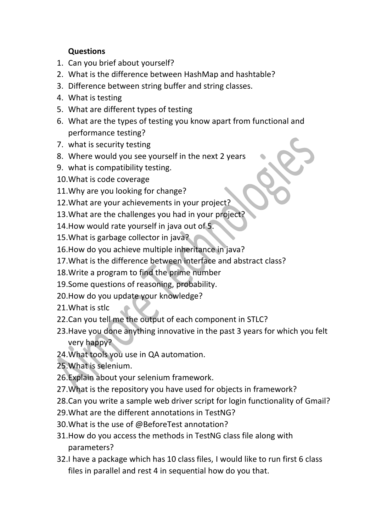## **Questions**

- 1. Can you brief about yourself?
- 2. What is the difference between HashMap and hashtable?
- 3. Difference between string buffer and string classes.
- 4. What is testing
- 5. What are different types of testing
- 6. What are the types of testing you know apart from functional and performance testing?
- 7. what is security testing
- 8. Where would you see yourself in the next 2 years
- 9. what is compatibility testing.
- 10.What is code coverage
- 11.Why are you looking for change?
- 12.What are your achievements in your project?
- 13.What are the challenges you had in your project?
- 14.How would rate yourself in java out of 5.
- 15.What is garbage collector in java?
- 16.How do you achieve multiple inheritance in java?
- 17.What is the difference between interface and abstract class?
- 18.Write a program to find the prime number
- 19.Some questions of reasoning, probability.
- 20.How do you update your knowledge?
- 21.What is stlc
- 22.Can you tell me the output of each component in STLC?
- 23.Have you done anything innovative in the past 3 years for which you felt very happy?
- 24.What tools you use in QA automation.
- 25.What is selenium.
- 26.Explain about your selenium framework.
- 27.What is the repository you have used for objects in framework?
- 28.Can you write a sample web driver script for login functionality of Gmail?
- 29.What are the different annotations in TestNG?
- 30.What is the use of @BeforeTest annotation?
- 31.How do you access the methods in TestNG class file along with parameters?
- 32.I have a package which has 10 class files, I would like to run first 6 class files in parallel and rest 4 in sequential how do you that.